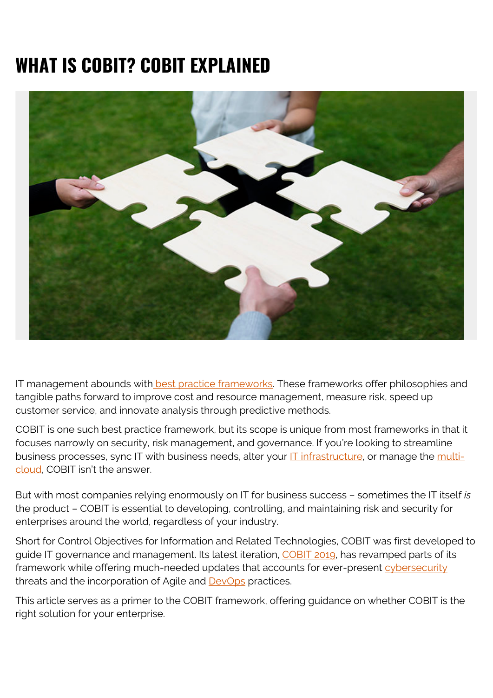# **WHAT IS COBIT? COBIT EXPLAINED**



IT management abounds with [best practice frameworks](https://www.bmc.com/blogs/itsm-frameworks-popular/). These frameworks offer philosophies and tangible paths forward to improve cost and resource management, measure risk, speed up customer service, and innovate analysis through predictive methods.

COBIT is one such best practice framework, but its scope is unique from most frameworks in that it focuses narrowly on security, risk management, and governance. If you're looking to streamline business processes, sync IT with business needs, alter your **IT infrastructure**, or manage the *[multi](https://blogs.bmc.com/blogs/hybrid-cloud-vs-multi-cloud-whats-the-difference/)*[cloud](https://blogs.bmc.com/blogs/hybrid-cloud-vs-multi-cloud-whats-the-difference/), COBIT isn't the answer.

But with most companies relying enormously on IT for business success – sometimes the IT itself *is* the product – COBIT is essential to developing, controlling, and maintaining risk and security for enterprises around the world, regardless of your industry.

Short for Control Objectives for Information and Related Technologies, COBIT was first developed to guide IT governance and management. Its latest iteration, [COBIT 2019](https://www.bmc.com/blogs/cobit-2019-vs-cobit-5/), has revamped parts of its framework while offering much-needed updates that accounts for ever-present [cybersecurity](https://blogs.bmc.com/blogs/cybersecurity/) threats and the incorporation of Agile and [DevOps](https://blogs.bmc.com/blogs/devops-basics-introduction/) practices.

This article serves as a primer to the COBIT framework, offering guidance on whether COBIT is the right solution for your enterprise.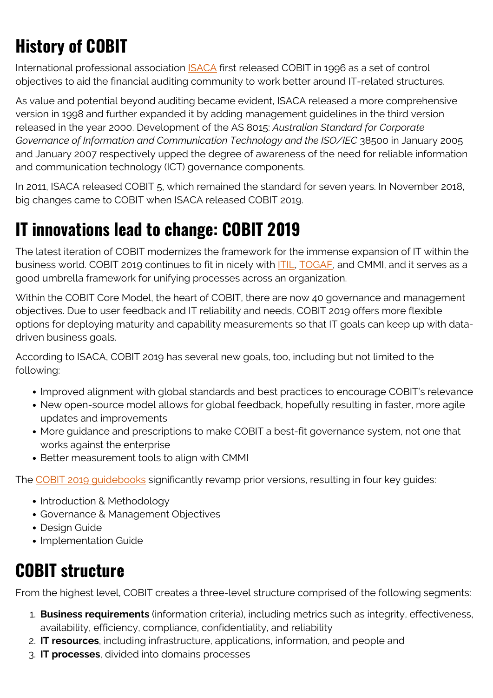# **History of COBIT**

International professional association [ISACA](http://www.isaca.org/cobit/pages/default.aspx) first released COBIT in 1996 as a set of control objectives to aid the financial auditing community to work better around IT-related structures.

As value and potential beyond auditing became evident, ISACA released a more comprehensive version in 1998 and further expanded it by adding management guidelines in the third version released in the year 2000. Development of the AS 8015: *Australian Standard for Corporate Governance of Information and Communication Technology and the ISO/IEC* 38500 in January 2005 and January 2007 respectively upped the degree of awareness of the need for reliable information and communication technology (ICT) governance components.

In 2011, ISACA released COBIT 5, which remained the standard for seven years. In November 2018, big changes came to COBIT when ISACA released COBIT 2019.

#### **IT innovations lead to change: COBIT 2019**

The latest iteration of COBIT modernizes the framework for the immense expansion of IT within the business world. COBIT 2019 continues to fit in nicely with **[ITIL,](https://blogs.bmc.com/blogs/itil-4/) TOGAF**, and CMMI, and it serves as a good umbrella framework for unifying processes across an organization.

Within the COBIT Core Model, the heart of COBIT, there are now 40 governance and management objectives. Due to user feedback and IT reliability and needs, COBIT 2019 offers more flexible options for deploying maturity and capability measurements so that IT goals can keep up with datadriven business goals.

According to ISACA, COBIT 2019 has several new goals, too, including but not limited to the following:

- Improved alignment with global standards and best practices to encourage COBIT's relevance
- New open-source model allows for global feedback, hopefully resulting in faster, more agile updates and improvements
- More guidance and prescriptions to make COBIT a best-fit governance system, not one that works against the enterprise
- Better measurement tools to align with CMMI

The [COBIT 2019 guidebooks](http://www.isaca.org/COBIT/Pages/COBIT-2019-Publications-Resources.aspx) significantly revamp prior versions, resulting in four key guides:

- Introduction & Methodology
- Governance & Management Objectives
- Design Guide
- Implementation Guide

#### **COBIT structure**

From the highest level, COBIT creates a three-level structure comprised of the following segments:

- 1. **Business requirements** (information criteria), including metrics such as integrity, effectiveness, availability, efficiency, compliance, confidentiality, and reliability
- 2. **IT resources**, including infrastructure, applications, information, and people and
- 3. **IT processes**, divided into domains processes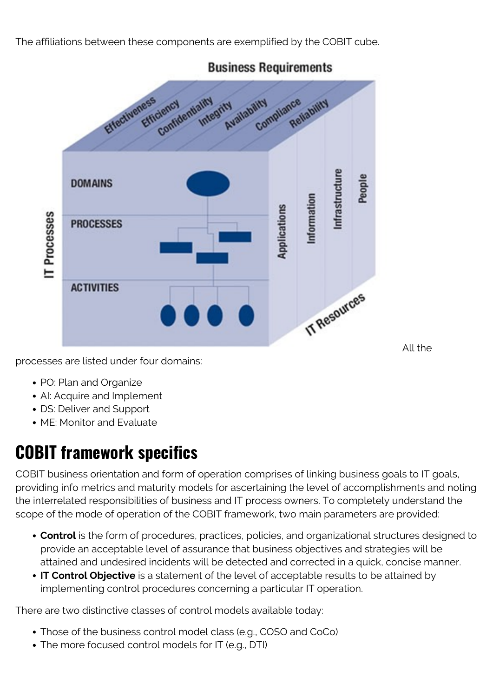The affiliations between these components are exemplified by the COBIT cube.



**Business Requirements** 

All the

processes are listed under four domains:

- PO: Plan and Organize
- AI: Acquire and Implement
- DS: Deliver and Support
- ME: Monitor and Evaluate

## **COBIT framework specifics**

COBIT business orientation and form of operation comprises of linking business goals to IT goals, providing info metrics and maturity models for ascertaining the level of accomplishments and noting the interrelated responsibilities of business and IT process owners. To completely understand the scope of the mode of operation of the COBIT framework, two main parameters are provided:

- **Control** is the form of procedures, practices, policies, and organizational structures designed to provide an acceptable level of assurance that business objectives and strategies will be attained and undesired incidents will be detected and corrected in a quick, concise manner.
- **IT Control Objective** is a statement of the level of acceptable results to be attained by implementing control procedures concerning a particular IT operation.

There are two distinctive classes of control models available today:

- Those of the business control model class (e.g., COSO and CoCo)
- The more focused control models for IT (e.g., DTI)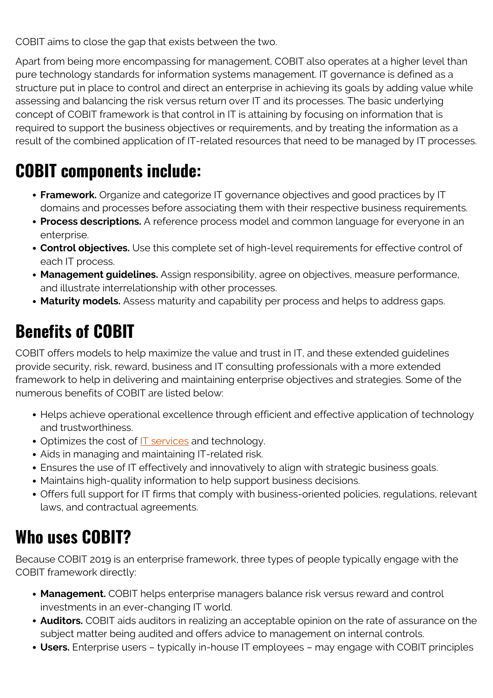COBIT aims to close the gap that exists between the two.

Apart from being more encompassing for management, COBIT also operates at a higher level than pure technology standards for information systems management. IT governance is defined as a structure put in place to control and direct an enterprise in achieving its goals by adding value while assessing and balancing the risk versus return over IT and its processes. The basic underlying concept of COBIT framework is that control in IT is attaining by focusing on information that is required to support the business objectives or requirements, and by treating the information as a result of the combined application of IT-related resources that need to be managed by IT processes.

#### **COBIT components include:**

- **Framework.** Organize and categorize IT governance objectives and good practices by IT domains and processes before associating them with their respective business requirements.
- **Process descriptions.** A reference process model and common language for everyone in an enterprise.
- **Control objectives.** Use this complete set of high-level requirements for effective control of each IT process.
- **Management guidelines.** Assign responsibility, agree on objectives, measure performance, and illustrate interrelationship with other processes.
- **Maturity models.** Assess maturity and capability per process and helps to address gaps.

## **Benefits of COBIT**

COBIT offers models to help maximize the value and trust in IT, and these extended guidelines provide security, risk, reward, business and IT consulting professionals with a more extended framework to help in delivering and maintaining enterprise objectives and strategies. Some of the numerous benefits of COBIT are listed below:

- Helps achieve operational excellence through efficient and effective application of technology and trustworthiness.
- Optimizes the cost of **IT** services and technology.
- Aids in managing and maintaining IT-related risk.
- Ensures the use of IT effectively and innovatively to align with strategic business goals.
- Maintains high-quality information to help support business decisions.
- Offers full support for IT firms that comply with business-oriented policies, regulations, relevant laws, and contractual agreements.

## **Who uses COBIT?**

Because COBIT 2019 is an enterprise framework, three types of people typically engage with the COBIT framework directly:

- **Management.** COBIT helps enterprise managers balance risk versus reward and control investments in an ever-changing IT world.
- **Auditors.** COBIT aids auditors in realizing an acceptable opinion on the rate of assurance on the subject matter being audited and offers advice to management on internal controls.
- **Users.** Enterprise users typically in-house IT employees may engage with COBIT principles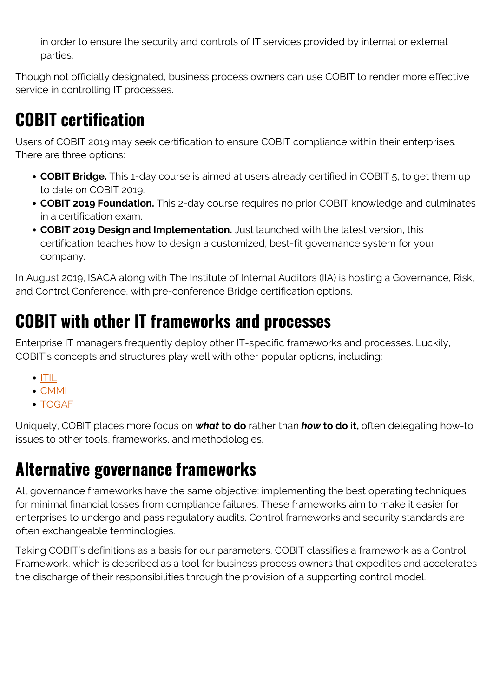in order to ensure the security and controls of IT services provided by internal or external parties.

Though not officially designated, business process owners can use COBIT to render more effective service in controlling IT processes.

## **COBIT certification**

Users of COBIT 2019 may seek certification to ensure COBIT compliance within their enterprises. There are three options:

- **COBIT Bridge.** This 1-day course is aimed at users already certified in COBIT 5, to get them up to date on COBIT 2019.
- **COBIT 2019 Foundation.** This 2-day course requires no prior COBIT knowledge and culminates in a certification exam.
- **COBIT 2019 Design and Implementation.** Just launched with the latest version, this certification teaches how to design a customized, best-fit governance system for your company.

In August 2019, ISACA along with The Institute of Internal Auditors (IIA) is hosting a Governance, Risk, and Control Conference, with pre-conference Bridge certification options.

### **COBIT with other IT frameworks and processes**

Enterprise IT managers frequently deploy other IT-specific frameworks and processes. Luckily, COBIT's concepts and structures play well with other popular options, including:

- $\cdot$  [ITIL](https://blogs.bmc.com/blogs/itil-foundation-study-guide/)
- [CMMI](https://blogs.bmc.com/blogs/cmmi-capability-maturity-model-integration/)
- [TOGAF](https://blogs.bmc.com/blogs/togaf-open-group-architecture-framework/)

Uniquely, COBIT places more focus on *what* **to do** rather than *how* **to do it,** often delegating how-to issues to other tools, frameworks, and methodologies.

#### **Alternative governance frameworks**

All governance frameworks have the same objective: implementing the best operating techniques for minimal financial losses from compliance failures. These frameworks aim to make it easier for enterprises to undergo and pass regulatory audits. Control frameworks and security standards are often exchangeable terminologies.

Taking COBIT's definitions as a basis for our parameters, COBIT classifies a framework as a Control Framework, which is described as a tool for business process owners that expedites and accelerates the discharge of their responsibilities through the provision of a supporting control model.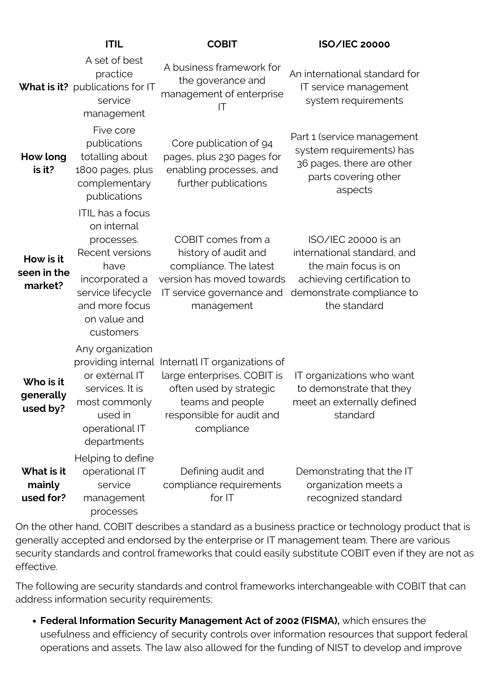|                                     | <b>ITIL</b>                                                                                                                                                           | <b>COBIT</b>                                                                                                                                           | <b>ISO/IEC 20000</b>                                                                                                                                  |
|-------------------------------------|-----------------------------------------------------------------------------------------------------------------------------------------------------------------------|--------------------------------------------------------------------------------------------------------------------------------------------------------|-------------------------------------------------------------------------------------------------------------------------------------------------------|
|                                     | A set of best<br>practice<br>What is it? publications for IT<br>service<br>management                                                                                 | A business framework for<br>the goverance and<br>management of enterprise<br>IT                                                                        | An international standard for<br>IT service management<br>system requirements                                                                         |
| How long<br>is it?                  | Five core<br>publications<br>totalling about<br>1800 pages, plus<br>complementary<br>publications                                                                     | Core publication of 94<br>pages, plus 230 pages for<br>enabling processes, and<br>further publications                                                 | Part 1 (service management<br>system requirements) has<br>36 pages, there are other<br>parts covering other<br>aspects                                |
| How is it<br>seen in the<br>market? | <b>ITIL</b> has a focus<br>on internal<br>processes.<br>Recent versions<br>have<br>incorporated a<br>service lifecycle<br>and more focus<br>on value and<br>customers | COBIT comes from a<br>history of audit and<br>compliance. The latest<br>version has moved towards<br>IT service governance and<br>management           | ISO/IEC 20000 is an<br>international standard, and<br>the main focus is on<br>achieving certification to<br>demonstrate compliance to<br>the standard |
| Who is it<br>generally<br>used by?  | Any organization<br>providing internal<br>or external IT<br>services. It is<br>most commonly<br>used in<br>operational IT<br>departments                              | Internatl IT organizations of<br>large enterprises. COBIT is<br>often used by strategic<br>teams and people<br>responsible for audit and<br>compliance | IT organizations who want<br>to demonstrate that they<br>meet an externally defined<br>standard                                                       |
| What is it<br>mainly<br>used for?   | Helping to define<br>operational IT<br>service<br>management<br>processes                                                                                             | Defining audit and<br>compliance requirements<br>for IT                                                                                                | Demonstrating that the IT<br>organization meets a<br>recognized standard                                                                              |

On the other hand, COBIT describes a standard as a business practice or technology product that is generally accepted and endorsed by the enterprise or IT management team. There are various security standards and control frameworks that could easily substitute COBIT even if they are not as effective.

The following are security standards and control frameworks interchangeable with COBIT that can address information security requirements:

**Federal Information Security Management Act of 2002 (FISMA),** which ensures the usefulness and efficiency of security controls over information resources that support federal operations and assets. The law also allowed for the funding of NIST to develop and improve